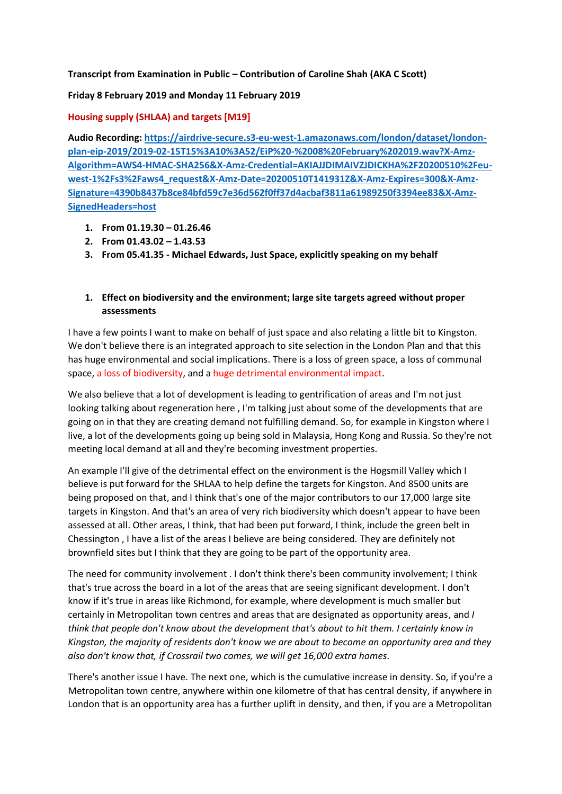### **Transcript from Examination in Public – Contribution of Caroline Shah (AKA C Scott)**

#### **Friday 8 February 2019 and Monday 11 February 2019**

### **Housing supply (SHLAA) and targets [M19]**

**Audio Recording: [https://airdrive-secure.s3-eu-west-1.amazonaws.com/london/dataset/london](https://airdrive-secure.s3-eu-west-1.amazonaws.com/london/dataset/london-plan-eip-2019/2019-02-15T15%3A10%3A52/EiP%20-%2008%20February%202019.wav?X-Amz-Algorithm=AWS4-HMAC-SHA256&X-Amz-Credential=AKIAJJDIMAIVZJDICKHA%2F20200510%2Feu-west-1%2Fs3%2Faws4_request&X-Amz-Date=20200510T141931Z&X-Amz-Expires=300&X-Amz-Signature=4390b8437b8ce84bfd59c7e36d562f0ff37d4acbaf3811a61989250f3394ee83&X-Amz-SignedHeaders=host)[plan-eip-2019/2019-02-15T15%3A10%3A52/EiP%20-%2008%20February%202019.wav?X-Amz-](https://airdrive-secure.s3-eu-west-1.amazonaws.com/london/dataset/london-plan-eip-2019/2019-02-15T15%3A10%3A52/EiP%20-%2008%20February%202019.wav?X-Amz-Algorithm=AWS4-HMAC-SHA256&X-Amz-Credential=AKIAJJDIMAIVZJDICKHA%2F20200510%2Feu-west-1%2Fs3%2Faws4_request&X-Amz-Date=20200510T141931Z&X-Amz-Expires=300&X-Amz-Signature=4390b8437b8ce84bfd59c7e36d562f0ff37d4acbaf3811a61989250f3394ee83&X-Amz-SignedHeaders=host)[Algorithm=AWS4-HMAC-SHA256&X-Amz-Credential=AKIAJJDIMAIVZJDICKHA%2F20200510%2Feu](https://airdrive-secure.s3-eu-west-1.amazonaws.com/london/dataset/london-plan-eip-2019/2019-02-15T15%3A10%3A52/EiP%20-%2008%20February%202019.wav?X-Amz-Algorithm=AWS4-HMAC-SHA256&X-Amz-Credential=AKIAJJDIMAIVZJDICKHA%2F20200510%2Feu-west-1%2Fs3%2Faws4_request&X-Amz-Date=20200510T141931Z&X-Amz-Expires=300&X-Amz-Signature=4390b8437b8ce84bfd59c7e36d562f0ff37d4acbaf3811a61989250f3394ee83&X-Amz-SignedHeaders=host)[west-1%2Fs3%2Faws4\\_request&X-Amz-Date=20200510T141931Z&X-Amz-Expires=300&X-Amz-](https://airdrive-secure.s3-eu-west-1.amazonaws.com/london/dataset/london-plan-eip-2019/2019-02-15T15%3A10%3A52/EiP%20-%2008%20February%202019.wav?X-Amz-Algorithm=AWS4-HMAC-SHA256&X-Amz-Credential=AKIAJJDIMAIVZJDICKHA%2F20200510%2Feu-west-1%2Fs3%2Faws4_request&X-Amz-Date=20200510T141931Z&X-Amz-Expires=300&X-Amz-Signature=4390b8437b8ce84bfd59c7e36d562f0ff37d4acbaf3811a61989250f3394ee83&X-Amz-SignedHeaders=host)[Signature=4390b8437b8ce84bfd59c7e36d562f0ff37d4acbaf3811a61989250f3394ee83&X-Amz-](https://airdrive-secure.s3-eu-west-1.amazonaws.com/london/dataset/london-plan-eip-2019/2019-02-15T15%3A10%3A52/EiP%20-%2008%20February%202019.wav?X-Amz-Algorithm=AWS4-HMAC-SHA256&X-Amz-Credential=AKIAJJDIMAIVZJDICKHA%2F20200510%2Feu-west-1%2Fs3%2Faws4_request&X-Amz-Date=20200510T141931Z&X-Amz-Expires=300&X-Amz-Signature=4390b8437b8ce84bfd59c7e36d562f0ff37d4acbaf3811a61989250f3394ee83&X-Amz-SignedHeaders=host)[SignedHeaders=host](https://airdrive-secure.s3-eu-west-1.amazonaws.com/london/dataset/london-plan-eip-2019/2019-02-15T15%3A10%3A52/EiP%20-%2008%20February%202019.wav?X-Amz-Algorithm=AWS4-HMAC-SHA256&X-Amz-Credential=AKIAJJDIMAIVZJDICKHA%2F20200510%2Feu-west-1%2Fs3%2Faws4_request&X-Amz-Date=20200510T141931Z&X-Amz-Expires=300&X-Amz-Signature=4390b8437b8ce84bfd59c7e36d562f0ff37d4acbaf3811a61989250f3394ee83&X-Amz-SignedHeaders=host)**

- **1. From 01.19.30 – 01.26.46**
- **2. From 01.43.02 – 1.43.53**
- **3. From 05.41.35 - Michael Edwards, Just Space, explicitly speaking on my behalf**

# **1. Effect on biodiversity and the environment; large site targets agreed without proper assessments**

I have a few points I want to make on behalf of just space and also relating a little bit to Kingston. We don't believe there is an integrated approach to site selection in the London Plan and that this has huge environmental and social implications. There is a loss of green space, a loss of communal space, a loss of biodiversity, and a huge detrimental environmental impact.

We also believe that a lot of development is leading to gentrification of areas and I'm not just looking talking about regeneration here , I'm talking just about some of the developments that are going on in that they are creating demand not fulfilling demand. So, for example in Kingston where I live, a lot of the developments going up being sold in Malaysia, Hong Kong and Russia. So they're not meeting local demand at all and they're becoming investment properties.

An example I'll give of the detrimental effect on the environment is the Hogsmill Valley which I believe is put forward for the SHLAA to help define the targets for Kingston. And 8500 units are being proposed on that, and I think that's one of the major contributors to our 17,000 large site targets in Kingston. And that's an area of very rich biodiversity which doesn't appear to have been assessed at all. Other areas, I think, that had been put forward, I think, include the green belt in Chessington , I have a list of the areas I believe are being considered. They are definitely not brownfield sites but I think that they are going to be part of the opportunity area.

The need for community involvement . I don't think there's been community involvement; I think that's true across the board in a lot of the areas that are seeing significant development. I don't know if it's true in areas like Richmond, for example, where development is much smaller but certainly in Metropolitan town centres and areas that are designated as opportunity areas, and *I think that people don't know about the development that's about to hit them. I certainly know in Kingston, the majority of residents don't know we are about to become an opportunity area and they also don't know that, if Crossrail two comes, we will get 16,000 extra homes*.

There's another issue I have. The next one, which is the cumulative increase in density. So, if you're a Metropolitan town centre, anywhere within one kilometre of that has central density, if anywhere in London that is an opportunity area has a further uplift in density, and then, if you are a Metropolitan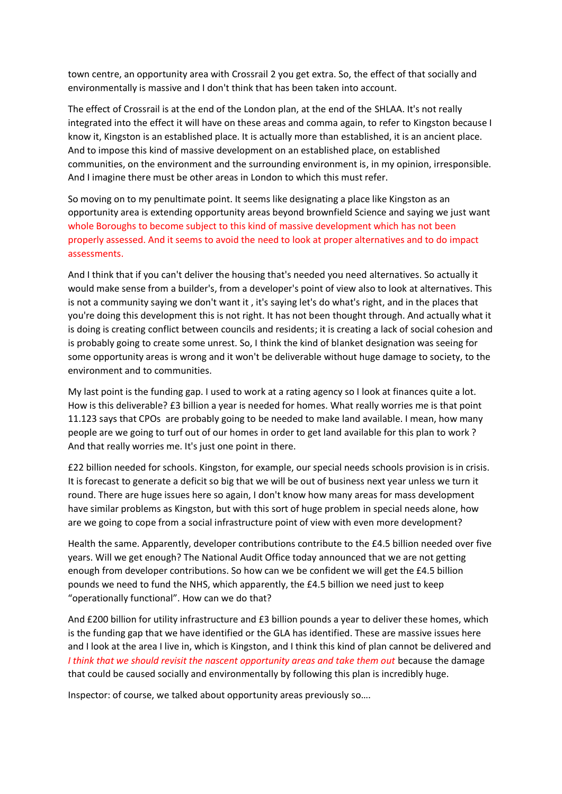town centre, an opportunity area with Crossrail 2 you get extra. So, the effect of that socially and environmentally is massive and I don't think that has been taken into account.

The effect of Crossrail is at the end of the London plan, at the end of the SHLAA. It's not really integrated into the effect it will have on these areas and comma again, to refer to Kingston because I know it, Kingston is an established place. It is actually more than established, it is an ancient place. And to impose this kind of massive development on an established place, on established communities, on the environment and the surrounding environment is, in my opinion, irresponsible. And I imagine there must be other areas in London to which this must refer.

So moving on to my penultimate point. It seems like designating a place like Kingston as an opportunity area is extending opportunity areas beyond brownfield Science and saying we just want whole Boroughs to become subject to this kind of massive development which has not been properly assessed. And it seems to avoid the need to look at proper alternatives and to do impact assessments.

And I think that if you can't deliver the housing that's needed you need alternatives. So actually it would make sense from a builder's, from a developer's point of view also to look at alternatives. This is not a community saying we don't want it , it's saying let's do what's right, and in the places that you're doing this development this is not right. It has not been thought through. And actually what it is doing is creating conflict between councils and residents; it is creating a lack of social cohesion and is probably going to create some unrest. So, I think the kind of blanket designation was seeing for some opportunity areas is wrong and it won't be deliverable without huge damage to society, to the environment and to communities.

My last point is the funding gap. I used to work at a rating agency so I look at finances quite a lot. How is this deliverable? £3 billion a year is needed for homes. What really worries me is that point 11.123 says that CPOs are probably going to be needed to make land available. I mean, how many people are we going to turf out of our homes in order to get land available for this plan to work ? And that really worries me. It's just one point in there.

£22 billion needed for schools. Kingston, for example, our special needs schools provision is in crisis. It is forecast to generate a deficit so big that we will be out of business next year unless we turn it round. There are huge issues here so again, I don't know how many areas for mass development have similar problems as Kingston, but with this sort of huge problem in special needs alone, how are we going to cope from a social infrastructure point of view with even more development?

Health the same. Apparently, developer contributions contribute to the £4.5 billion needed over five years. Will we get enough? The National Audit Office today announced that we are not getting enough from developer contributions. So how can we be confident we will get the £4.5 billion pounds we need to fund the NHS, which apparently, the £4.5 billion we need just to keep "operationally functional". How can we do that?

And £200 billion for utility infrastructure and £3 billion pounds a year to deliver these homes, which is the funding gap that we have identified or the GLA has identified. These are massive issues here and I look at the area I live in, which is Kingston, and I think this kind of plan cannot be delivered and *I think that we should revisit the nascent opportunity areas and take them out* because the damage that could be caused socially and environmentally by following this plan is incredibly huge.

Inspector: of course, we talked about opportunity areas previously so….